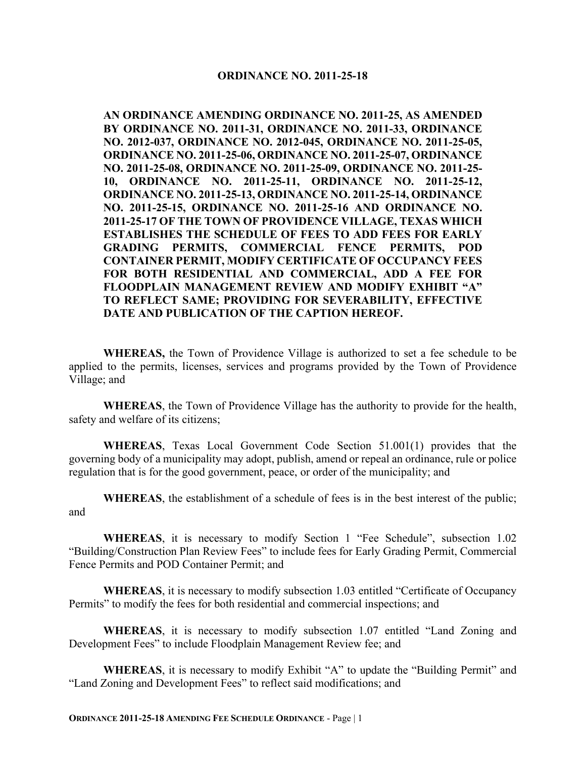#### **ORDINANCE NO. 2011-25-18**

**AN ORDINANCE AMENDING ORDINANCE NO. 2011-25, AS AMENDED BY ORDINANCE NO. 2011-31, ORDINANCE NO. 2011-33, ORDINANCE NO. 2012-037, ORDINANCE NO. 2012-045, ORDINANCE NO. 2011-25-05, ORDINANCE NO. 2011-25-06, ORDINANCE NO. 2011-25-07, ORDINANCE NO. 2011-25-08, ORDINANCE NO. 2011-25-09, ORDINANCE NO. 2011-25- 10, ORDINANCE NO. 2011-25-11, ORDINANCE NO. 2011-25-12, ORDINANCE NO. 2011-25-13, ORDINANCE NO. 2011-25-14, ORDINANCE NO. 2011-25-15, ORDINANCE NO. 2011-25-16 AND ORDINANCE NO. 2011-25-17 OF THE TOWN OF PROVIDENCE VILLAGE, TEXAS WHICH ESTABLISHES THE SCHEDULE OF FEES TO ADD FEES FOR EARLY GRADING PERMITS, COMMERCIAL FENCE PERMITS, POD CONTAINER PERMIT, MODIFY CERTIFICATE OF OCCUPANCY FEES FOR BOTH RESIDENTIAL AND COMMERCIAL, ADD A FEE FOR FLOODPLAIN MANAGEMENT REVIEW AND MODIFY EXHIBIT "A" TO REFLECT SAME; PROVIDING FOR SEVERABILITY, EFFECTIVE DATE AND PUBLICATION OF THE CAPTION HEREOF.**

**WHEREAS,** the Town of Providence Village is authorized to set a fee schedule to be applied to the permits, licenses, services and programs provided by the Town of Providence Village; and

**WHEREAS**, the Town of Providence Village has the authority to provide for the health, safety and welfare of its citizens;

**WHEREAS**, Texas Local Government Code Section 51.001(1) provides that the governing body of a municipality may adopt, publish, amend or repeal an ordinance, rule or police regulation that is for the good government, peace, or order of the municipality; and

**WHEREAS**, the establishment of a schedule of fees is in the best interest of the public; and

**WHEREAS**, it is necessary to modify Section 1 "Fee Schedule", subsection 1.02 "Building/Construction Plan Review Fees" to include fees for Early Grading Permit, Commercial Fence Permits and POD Container Permit; and

**WHEREAS**, it is necessary to modify subsection 1.03 entitled "Certificate of Occupancy Permits" to modify the fees for both residential and commercial inspections; and

**WHEREAS**, it is necessary to modify subsection 1.07 entitled "Land Zoning and Development Fees" to include Floodplain Management Review fee; and

**WHEREAS**, it is necessary to modify Exhibit "A" to update the "Building Permit" and "Land Zoning and Development Fees" to reflect said modifications; and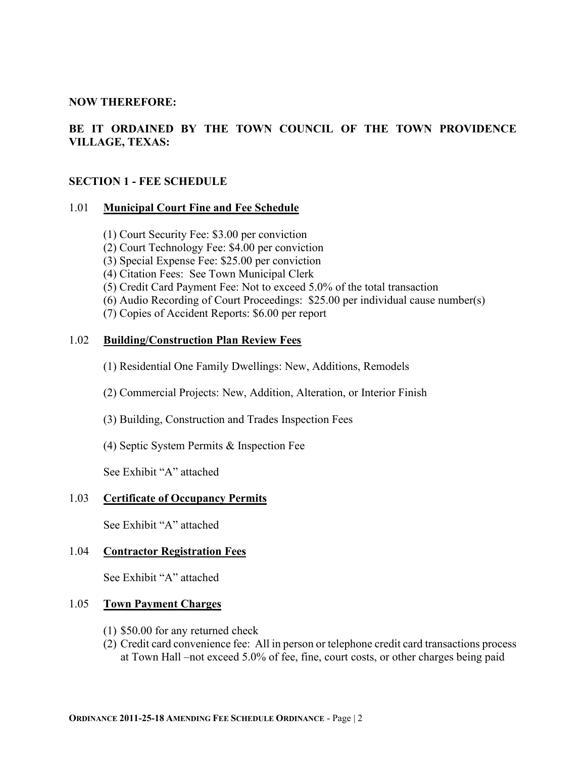#### **NOW THEREFORE:**

# **BE IT ORDAINED BY THE TOWN COUNCIL OF THE TOWN PROVIDENCE VILLAGE, TEXAS:**

#### **SECTION 1 - FEE SCHEDULE**

#### 1.01 **Municipal Court Fine and Fee Schedule**

- (1) Court Security Fee: \$3.00 per conviction
- (2) Court Technology Fee: \$4.00 per conviction
- (3) Special Expense Fee: \$25.00 per conviction
- (4) Citation Fees: See Town Municipal Clerk
- (5) Credit Card Payment Fee: Not to exceed 5.0% of the total transaction
- (6) Audio Recording of Court Proceedings: \$25.00 per individual cause number(s)
- (7) Copies of Accident Reports: \$6.00 per report

#### 1.02 **Building/Construction Plan Review Fees**

- (1) Residential One Family Dwellings: New, Additions, Remodels
- (2) Commercial Projects: New, Addition, Alteration, or Interior Finish
- (3) Building, Construction and Trades Inspection Fees
- (4) Septic System Permits & Inspection Fee

See Exhibit "A" attached

#### 1.03 **Certificate of Occupancy Permits**

See Exhibit "A" attached

#### 1.04 **Contractor Registration Fees**

See Exhibit "A" attached

#### 1.05 **Town Payment Charges**

- (1) \$50.00 for any returned check
- (2) Credit card convenience fee: All in person or telephone credit card transactions process at Town Hall –not exceed 5.0% of fee, fine, court costs, or other charges being paid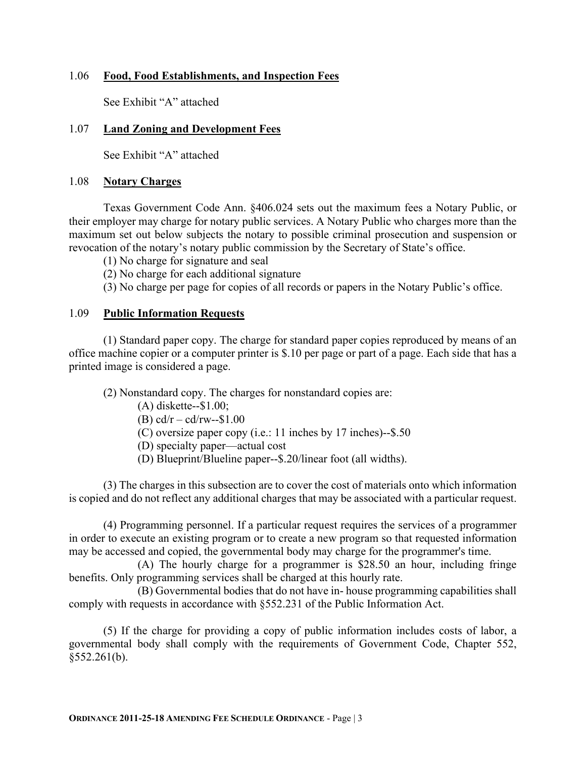#### 1.06 **Food, Food Establishments, and Inspection Fees**

See Exhibit "A" attached

#### 1.07 **Land Zoning and Development Fees**

See Exhibit "A" attached

#### 1.08 **Notary Charges**

Texas Government Code Ann. §406.024 sets out the maximum fees a Notary Public, or their employer may charge for notary public services. A Notary Public who charges more than the maximum set out below subjects the notary to possible criminal prosecution and suspension or revocation of the notary's notary public commission by the Secretary of State's office.

(1) No charge for signature and seal

(2) No charge for each additional signature

(3) No charge per page for copies of all records or papers in the Notary Public's office.

#### 1.09 **Public Information Requests**

(1) Standard paper copy. The charge for standard paper copies reproduced by means of an office machine copier or a computer printer is \$.10 per page or part of a page. Each side that has a printed image is considered a page.

(2) Nonstandard copy. The charges for nonstandard copies are:

(A) diskette--\$1.00;

(B)  $cd/r - cd/rw - $1.00$ 

(C) oversize paper copy (i.e.: 11 inches by 17 inches)--\$.50

(D) specialty paper—actual cost

(D) Blueprint/Blueline paper--\$.20/linear foot (all widths).

(3) The charges in this subsection are to cover the cost of materials onto which information is copied and do not reflect any additional charges that may be associated with a particular request.

(4) Programming personnel. If a particular request requires the services of a programmer in order to execute an existing program or to create a new program so that requested information may be accessed and copied, the governmental body may charge for the programmer's time.

(A) The hourly charge for a programmer is \$28.50 an hour, including fringe benefits. Only programming services shall be charged at this hourly rate.

(B) Governmental bodies that do not have in- house programming capabilities shall comply with requests in accordance with §552.231 of the Public Information Act.

(5) If the charge for providing a copy of public information includes costs of labor, a governmental body shall comply with the requirements of Government Code, Chapter 552,  $§552.261(b).$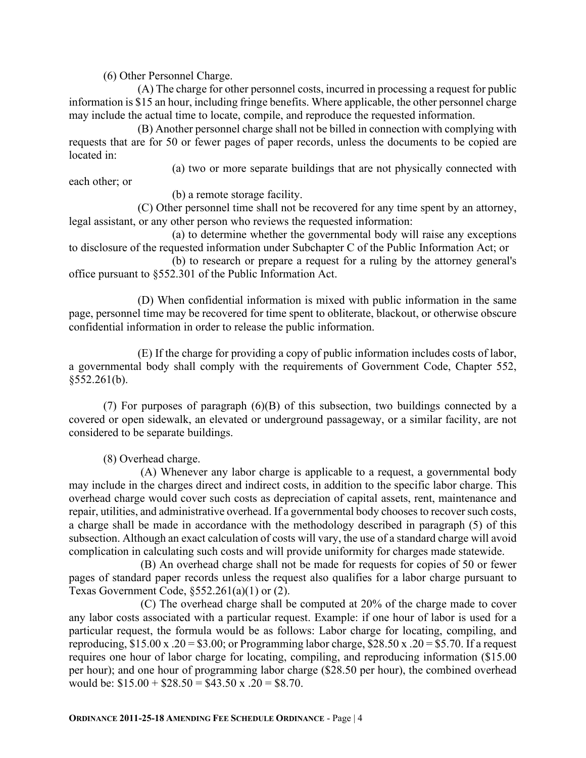(6) Other Personnel Charge.

(A) The charge for other personnel costs, incurred in processing a request for public information is \$15 an hour, including fringe benefits. Where applicable, the other personnel charge may include the actual time to locate, compile, and reproduce the requested information.

(B) Another personnel charge shall not be billed in connection with complying with requests that are for 50 or fewer pages of paper records, unless the documents to be copied are located in:

(a) two or more separate buildings that are not physically connected with each other; or

(b) a remote storage facility.

(C) Other personnel time shall not be recovered for any time spent by an attorney, legal assistant, or any other person who reviews the requested information:

(a) to determine whether the governmental body will raise any exceptions to disclosure of the requested information under Subchapter C of the Public Information Act; or

(b) to research or prepare a request for a ruling by the attorney general's office pursuant to §552.301 of the Public Information Act.

(D) When confidential information is mixed with public information in the same page, personnel time may be recovered for time spent to obliterate, blackout, or otherwise obscure confidential information in order to release the public information.

(E) If the charge for providing a copy of public information includes costs of labor, a governmental body shall comply with the requirements of Government Code, Chapter 552, §552.261(b).

(7) For purposes of paragraph (6)(B) of this subsection, two buildings connected by a covered or open sidewalk, an elevated or underground passageway, or a similar facility, are not considered to be separate buildings.

(8) Overhead charge.

(A) Whenever any labor charge is applicable to a request, a governmental body may include in the charges direct and indirect costs, in addition to the specific labor charge. This overhead charge would cover such costs as depreciation of capital assets, rent, maintenance and repair, utilities, and administrative overhead. If a governmental body chooses to recover such costs, a charge shall be made in accordance with the methodology described in paragraph (5) of this subsection. Although an exact calculation of costs will vary, the use of a standard charge will avoid complication in calculating such costs and will provide uniformity for charges made statewide.

(B) An overhead charge shall not be made for requests for copies of 50 or fewer pages of standard paper records unless the request also qualifies for a labor charge pursuant to Texas Government Code, §552.261(a)(1) or (2).

(C) The overhead charge shall be computed at 20% of the charge made to cover any labor costs associated with a particular request. Example: if one hour of labor is used for a particular request, the formula would be as follows: Labor charge for locating, compiling, and reproducing,  $$15.00 \text{ x} \cdot .20 = $3.00$ ; or Programming labor charge,  $$28.50 \text{ x} \cdot .20 = $5.70$ . If a request requires one hour of labor charge for locating, compiling, and reproducing information (\$15.00 per hour); and one hour of programming labor charge (\$28.50 per hour), the combined overhead would be:  $$15.00 + $28.50 = $43.50 \times .20 = $8.70$ .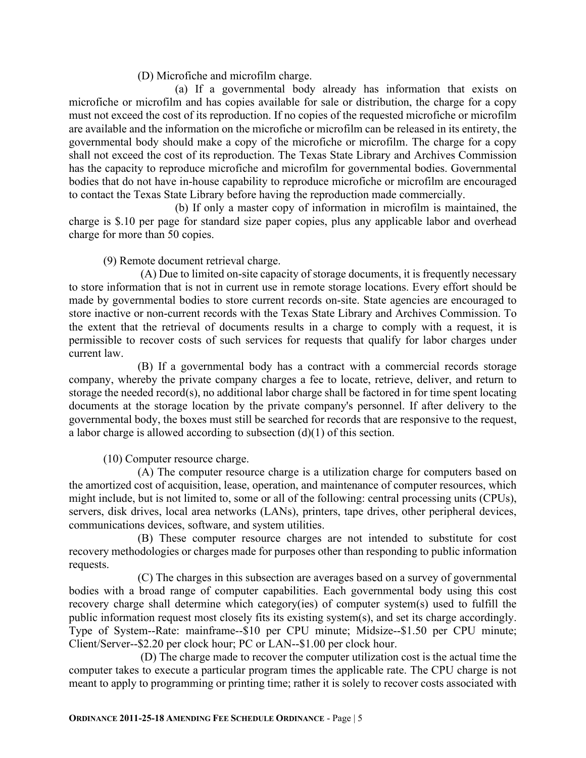(D) Microfiche and microfilm charge.

(a) If a governmental body already has information that exists on microfiche or microfilm and has copies available for sale or distribution, the charge for a copy must not exceed the cost of its reproduction. If no copies of the requested microfiche or microfilm are available and the information on the microfiche or microfilm can be released in its entirety, the governmental body should make a copy of the microfiche or microfilm. The charge for a copy shall not exceed the cost of its reproduction. The Texas State Library and Archives Commission has the capacity to reproduce microfiche and microfilm for governmental bodies. Governmental bodies that do not have in-house capability to reproduce microfiche or microfilm are encouraged to contact the Texas State Library before having the reproduction made commercially.

(b) If only a master copy of information in microfilm is maintained, the charge is \$.10 per page for standard size paper copies, plus any applicable labor and overhead charge for more than 50 copies.

(9) Remote document retrieval charge.

(A) Due to limited on-site capacity of storage documents, it is frequently necessary to store information that is not in current use in remote storage locations. Every effort should be made by governmental bodies to store current records on-site. State agencies are encouraged to store inactive or non-current records with the Texas State Library and Archives Commission. To the extent that the retrieval of documents results in a charge to comply with a request, it is permissible to recover costs of such services for requests that qualify for labor charges under current law.

 (B) If a governmental body has a contract with a commercial records storage company, whereby the private company charges a fee to locate, retrieve, deliver, and return to storage the needed record(s), no additional labor charge shall be factored in for time spent locating documents at the storage location by the private company's personnel. If after delivery to the governmental body, the boxes must still be searched for records that are responsive to the request, a labor charge is allowed according to subsection (d)(1) of this section.

(10) Computer resource charge.

 (A) The computer resource charge is a utilization charge for computers based on the amortized cost of acquisition, lease, operation, and maintenance of computer resources, which might include, but is not limited to, some or all of the following: central processing units (CPUs), servers, disk drives, local area networks (LANs), printers, tape drives, other peripheral devices, communications devices, software, and system utilities.

 (B) These computer resource charges are not intended to substitute for cost recovery methodologies or charges made for purposes other than responding to public information requests.

 (C) The charges in this subsection are averages based on a survey of governmental bodies with a broad range of computer capabilities. Each governmental body using this cost recovery charge shall determine which category(ies) of computer system(s) used to fulfill the public information request most closely fits its existing system(s), and set its charge accordingly. Type of System--Rate: mainframe--\$10 per CPU minute; Midsize--\$1.50 per CPU minute; Client/Server--\$2.20 per clock hour; PC or LAN--\$1.00 per clock hour.

(D) The charge made to recover the computer utilization cost is the actual time the computer takes to execute a particular program times the applicable rate. The CPU charge is not meant to apply to programming or printing time; rather it is solely to recover costs associated with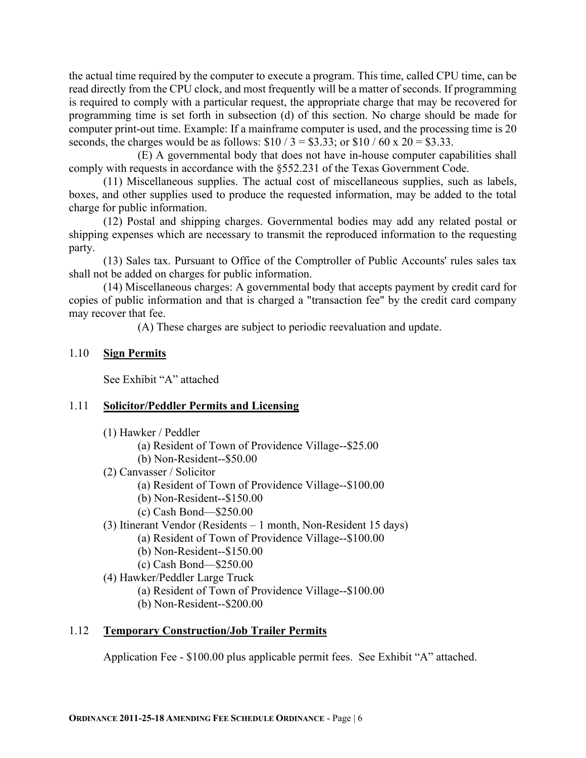the actual time required by the computer to execute a program. This time, called CPU time, can be read directly from the CPU clock, and most frequently will be a matter of seconds. If programming is required to comply with a particular request, the appropriate charge that may be recovered for programming time is set forth in subsection (d) of this section. No charge should be made for computer print-out time. Example: If a mainframe computer is used, and the processing time is 20 seconds, the charges would be as follows:  $$10 / 3 = $3.33$ ; or  $$10 / 60 \times 20 = $3.33$ .

 (E) A governmental body that does not have in-house computer capabilities shall comply with requests in accordance with the §552.231 of the Texas Government Code.

(11) Miscellaneous supplies. The actual cost of miscellaneous supplies, such as labels, boxes, and other supplies used to produce the requested information, may be added to the total charge for public information.

(12) Postal and shipping charges. Governmental bodies may add any related postal or shipping expenses which are necessary to transmit the reproduced information to the requesting party.

(13) Sales tax. Pursuant to Office of the Comptroller of Public Accounts' rules sales tax shall not be added on charges for public information.

(14) Miscellaneous charges: A governmental body that accepts payment by credit card for copies of public information and that is charged a "transaction fee" by the credit card company may recover that fee.

(A) These charges are subject to periodic reevaluation and update.

#### 1.10 **Sign Permits**

See Exhibit "A" attached

# 1.11 **Solicitor/Peddler Permits and Licensing**

- (1) Hawker / Peddler
	- (a) Resident of Town of Providence Village--\$25.00
	- (b) Non-Resident--\$50.00
- (2) Canvasser / Solicitor
	- (a) Resident of Town of Providence Village--\$100.00
	- (b) Non-Resident--\$150.00
	- (c) Cash Bond—\$250.00
- (3) Itinerant Vendor (Residents 1 month, Non-Resident 15 days)
	- (a) Resident of Town of Providence Village--\$100.00
	- (b) Non-Resident--\$150.00
	- (c) Cash Bond—\$250.00
- (4) Hawker/Peddler Large Truck
	- (a) Resident of Town of Providence Village--\$100.00
	- (b) Non-Resident--\$200.00

# 1.12 **Temporary Construction/Job Trailer Permits**

Application Fee - \$100.00 plus applicable permit fees. See Exhibit "A" attached.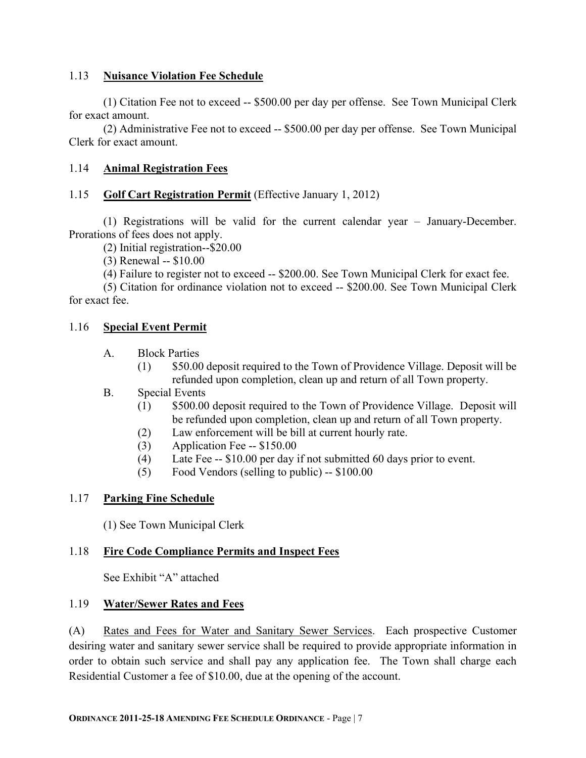#### 1.13 **Nuisance Violation Fee Schedule**

(1) Citation Fee not to exceed -- \$500.00 per day per offense. See Town Municipal Clerk for exact amount.

(2) Administrative Fee not to exceed -- \$500.00 per day per offense. See Town Municipal Clerk for exact amount.

### 1.14 **Animal Registration Fees**

#### 1.15 **Golf Cart Registration Permit** (Effective January 1, 2012)

(1) Registrations will be valid for the current calendar year – January-December. Prorations of fees does not apply.

(2) Initial registration--\$20.00

(3) Renewal -- \$10.00

(4) Failure to register not to exceed -- \$200.00. See Town Municipal Clerk for exact fee.

(5) Citation for ordinance violation not to exceed -- \$200.00. See Town Municipal Clerk for exact fee.

#### 1.16 **Special Event Permit**

#### A. Block Parties

- (1) \$50.00 deposit required to the Town of Providence Village. Deposit will be refunded upon completion, clean up and return of all Town property.
- B. Special Events
	- (1) \$500.00 deposit required to the Town of Providence Village. Deposit will be refunded upon completion, clean up and return of all Town property.
	- (2) Law enforcement will be bill at current hourly rate.
	- (3) Application Fee -- \$150.00
	- (4) Late Fee -- \$10.00 per day if not submitted 60 days prior to event.
	- (5) Food Vendors (selling to public) -- \$100.00

# 1.17 **Parking Fine Schedule**

(1) See Town Municipal Clerk

# 1.18 **Fire Code Compliance Permits and Inspect Fees**

See Exhibit "A" attached

#### 1.19 **Water/Sewer Rates and Fees**

(A) Rates and Fees for Water and Sanitary Sewer Services. Each prospective Customer desiring water and sanitary sewer service shall be required to provide appropriate information in order to obtain such service and shall pay any application fee. The Town shall charge each Residential Customer a fee of \$10.00, due at the opening of the account.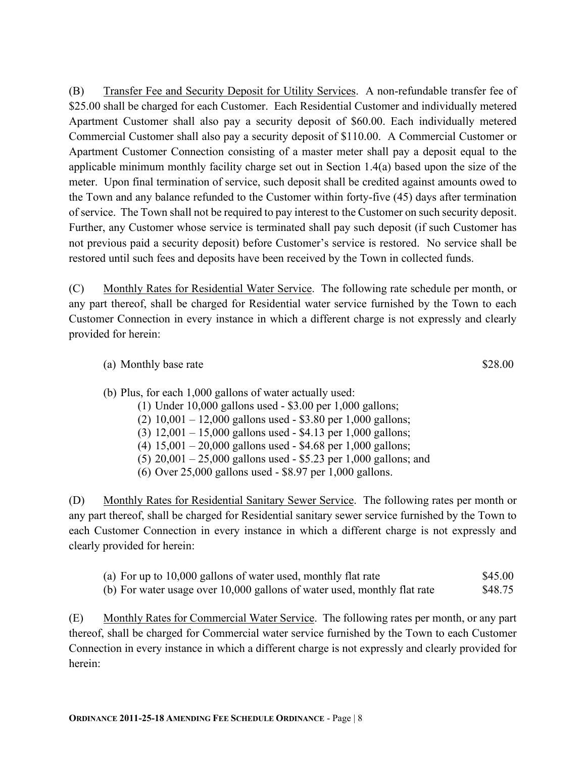(B) Transfer Fee and Security Deposit for Utility Services. A non-refundable transfer fee of \$25.00 shall be charged for each Customer. Each Residential Customer and individually metered Apartment Customer shall also pay a security deposit of \$60.00. Each individually metered Commercial Customer shall also pay a security deposit of \$110.00. A Commercial Customer or Apartment Customer Connection consisting of a master meter shall pay a deposit equal to the applicable minimum monthly facility charge set out in Section 1.4(a) based upon the size of the meter. Upon final termination of service, such deposit shall be credited against amounts owed to the Town and any balance refunded to the Customer within forty-five (45) days after termination of service. The Town shall not be required to pay interest to the Customer on such security deposit. Further, any Customer whose service is terminated shall pay such deposit (if such Customer has not previous paid a security deposit) before Customer's service is restored. No service shall be restored until such fees and deposits have been received by the Town in collected funds.

(C) Monthly Rates for Residential Water Service. The following rate schedule per month, or any part thereof, shall be charged for Residential water service furnished by the Town to each Customer Connection in every instance in which a different charge is not expressly and clearly provided for herein:

(a) Monthly base rate  $$28.00$ 

- (b) Plus, for each 1,000 gallons of water actually used:
	- (1) Under 10,000 gallons used \$3.00 per 1,000 gallons;
	- (2) 10,001 12,000 gallons used \$3.80 per 1,000 gallons;
	- (3) 12,001 15,000 gallons used \$4.13 per 1,000 gallons;
	- (4) 15,001 20,000 gallons used \$4.68 per 1,000 gallons;
	- (5) 20,001 25,000 gallons used \$5.23 per 1,000 gallons; and
	- (6) Over 25,000 gallons used \$8.97 per 1,000 gallons.

(D) Monthly Rates for Residential Sanitary Sewer Service. The following rates per month or any part thereof, shall be charged for Residential sanitary sewer service furnished by the Town to each Customer Connection in every instance in which a different charge is not expressly and clearly provided for herein:

- (a) For up to 10,000 gallons of water used, monthly flat rate \$45.00
- (b) For water usage over 10,000 gallons of water used, monthly flat rate \$48.75

(E) Monthly Rates for Commercial Water Service. The following rates per month, or any part thereof, shall be charged for Commercial water service furnished by the Town to each Customer Connection in every instance in which a different charge is not expressly and clearly provided for herein: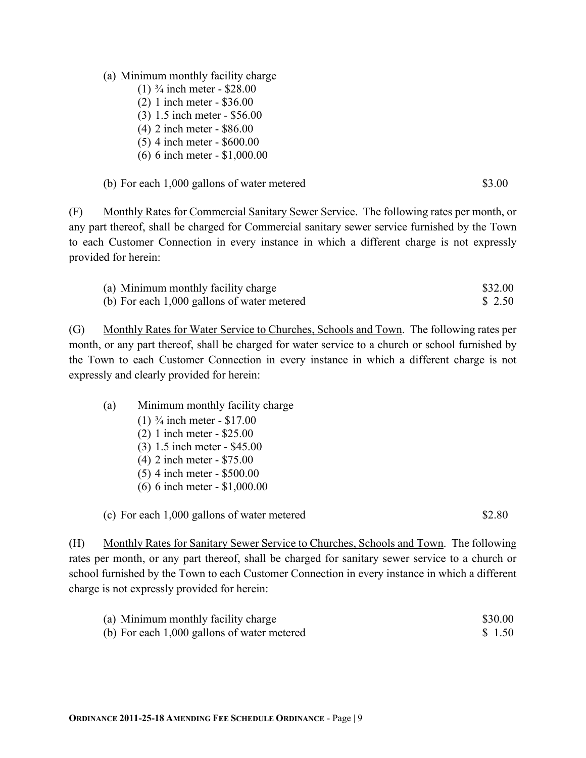(2) 1 inch meter - \$36.00

(a) Minimum monthly facility charge (1)  $\frac{3}{4}$  inch meter - \$28.00

- (3) 1.5 inch meter \$56.00
- (4) 2 inch meter \$86.00
- (5) 4 inch meter \$600.00
- (6) 6 inch meter \$1,000.00

| (b) For each 1,000 gallons of water metered | \$3.00 |
|---------------------------------------------|--------|
|---------------------------------------------|--------|

(F) Monthly Rates for Commercial Sanitary Sewer Service. The following rates per month, or any part thereof, shall be charged for Commercial sanitary sewer service furnished by the Town to each Customer Connection in every instance in which a different charge is not expressly provided for herein:

| (a) Minimum monthly facility charge         | \$32.00 |
|---------------------------------------------|---------|
| (b) For each 1,000 gallons of water metered | \$2.50  |

(G) Monthly Rates for Water Service to Churches, Schools and Town. The following rates per month, or any part thereof, shall be charged for water service to a church or school furnished by the Town to each Customer Connection in every instance in which a different charge is not expressly and clearly provided for herein:

- (a) Minimum monthly facility charge
	- (1)  $\frac{3}{4}$  inch meter \$17.00
	- (2) 1 inch meter \$25.00
	- (3) 1.5 inch meter \$45.00
	- (4) 2 inch meter \$75.00
	- (5) 4 inch meter \$500.00
	- (6) 6 inch meter \$1,000.00

(c) For each 1,000 gallons of water metered \$2.80

(H) Monthly Rates for Sanitary Sewer Service to Churches, Schools and Town. The following rates per month, or any part thereof, shall be charged for sanitary sewer service to a church or school furnished by the Town to each Customer Connection in every instance in which a different charge is not expressly provided for herein:

| (a) Minimum monthly facility charge         | \$30.00 |
|---------------------------------------------|---------|
| (b) For each 1,000 gallons of water metered | \$1.50  |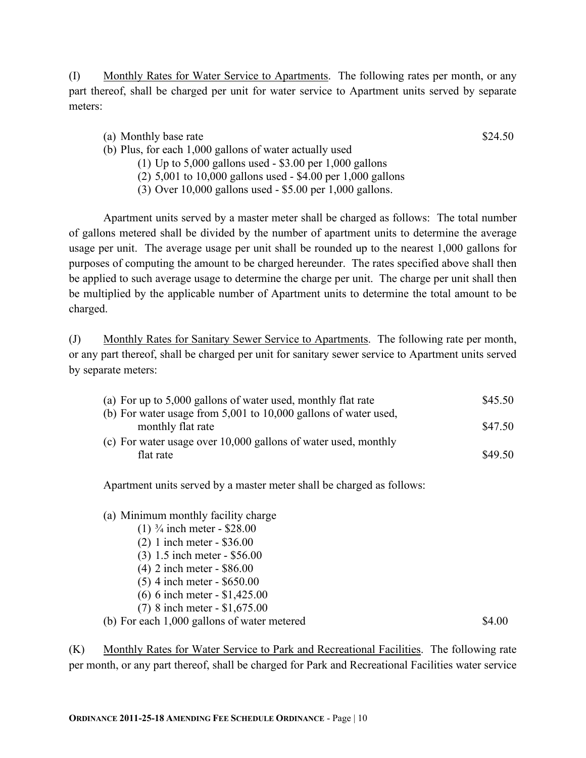(I) Monthly Rates for Water Service to Apartments. The following rates per month, or any part thereof, shall be charged per unit for water service to Apartment units served by separate meters:

|                          | (a) Monthly base rate               |  |  |  | \$24.50 |
|--------------------------|-------------------------------------|--|--|--|---------|
| $(1 \times \mathbf{D1})$ | $1 \cdot 1 \cdot \cap \cap \cap$ 11 |  |  |  |         |

- (b) Plus, for each 1,000 gallons of water actually used (1) Up to 5,000 gallons used - \$3.00 per 1,000 gallons
	- (2) 5,001 to 10,000 gallons used \$4.00 per 1,000 gallons
	- (3) Over 10,000 gallons used \$5.00 per 1,000 gallons.

Apartment units served by a master meter shall be charged as follows: The total number of gallons metered shall be divided by the number of apartment units to determine the average usage per unit. The average usage per unit shall be rounded up to the nearest 1,000 gallons for purposes of computing the amount to be charged hereunder. The rates specified above shall then be applied to such average usage to determine the charge per unit. The charge per unit shall then be multiplied by the applicable number of Apartment units to determine the total amount to be charged.

(J) Monthly Rates for Sanitary Sewer Service to Apartments. The following rate per month, or any part thereof, shall be charged per unit for sanitary sewer service to Apartment units served by separate meters:

| (a) For up to 5,000 gallons of water used, monthly flat rate        | \$45.50 |
|---------------------------------------------------------------------|---------|
| (b) For water usage from $5,001$ to $10,000$ gallons of water used, |         |
| monthly flat rate                                                   | \$47.50 |
| (c) For water usage over $10,000$ gallons of water used, monthly    |         |
| flat rate                                                           | \$49.50 |

Apartment units served by a master meter shall be charged as follows:

- (a) Minimum monthly facility charge
	- (1)  $\frac{3}{4}$  inch meter \$28.00
	- (2) 1 inch meter \$36.00
	- (3) 1.5 inch meter \$56.00
	- (4) 2 inch meter \$86.00
	- (5) 4 inch meter \$650.00
	- (6) 6 inch meter \$1,425.00
	- (7) 8 inch meter \$1,675.00

(b) For each  $1,000$  gallons of water metered  $$4.00$ 

(K) Monthly Rates for Water Service to Park and Recreational Facilities. The following rate per month, or any part thereof, shall be charged for Park and Recreational Facilities water service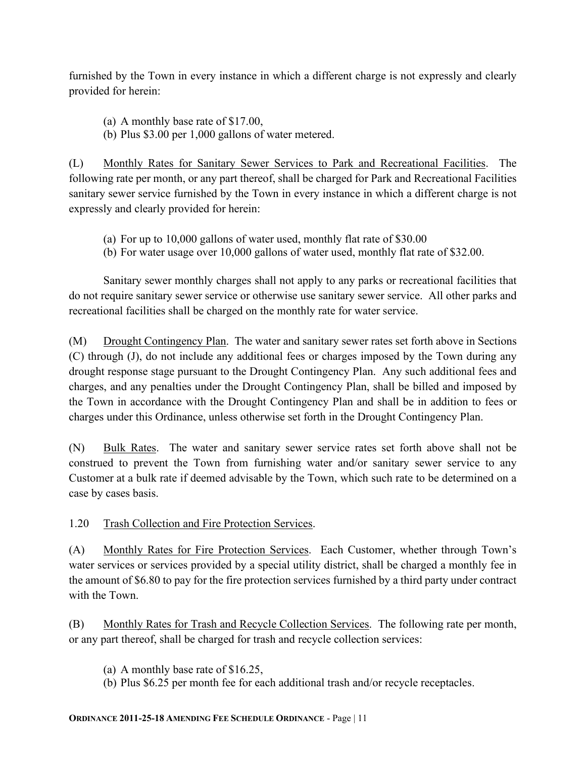furnished by the Town in every instance in which a different charge is not expressly and clearly provided for herein:

- (a) A monthly base rate of \$17.00,
- (b) Plus \$3.00 per 1,000 gallons of water metered.

(L) Monthly Rates for Sanitary Sewer Services to Park and Recreational Facilities. The following rate per month, or any part thereof, shall be charged for Park and Recreational Facilities sanitary sewer service furnished by the Town in every instance in which a different charge is not expressly and clearly provided for herein:

- (a) For up to 10,000 gallons of water used, monthly flat rate of \$30.00
- (b) For water usage over 10,000 gallons of water used, monthly flat rate of \$32.00.

Sanitary sewer monthly charges shall not apply to any parks or recreational facilities that do not require sanitary sewer service or otherwise use sanitary sewer service. All other parks and recreational facilities shall be charged on the monthly rate for water service.

(M) Drought Contingency Plan. The water and sanitary sewer rates set forth above in Sections (C) through (J), do not include any additional fees or charges imposed by the Town during any drought response stage pursuant to the Drought Contingency Plan. Any such additional fees and charges, and any penalties under the Drought Contingency Plan, shall be billed and imposed by the Town in accordance with the Drought Contingency Plan and shall be in addition to fees or charges under this Ordinance, unless otherwise set forth in the Drought Contingency Plan.

(N) Bulk Rates. The water and sanitary sewer service rates set forth above shall not be construed to prevent the Town from furnishing water and/or sanitary sewer service to any Customer at a bulk rate if deemed advisable by the Town, which such rate to be determined on a case by cases basis.

1.20 Trash Collection and Fire Protection Services.

(A) Monthly Rates for Fire Protection Services. Each Customer, whether through Town's water services or services provided by a special utility district, shall be charged a monthly fee in the amount of \$6.80 to pay for the fire protection services furnished by a third party under contract with the Town.

(B) Monthly Rates for Trash and Recycle Collection Services. The following rate per month, or any part thereof, shall be charged for trash and recycle collection services:

- (a) A monthly base rate of \$16.25,
- (b) Plus \$6.25 per month fee for each additional trash and/or recycle receptacles.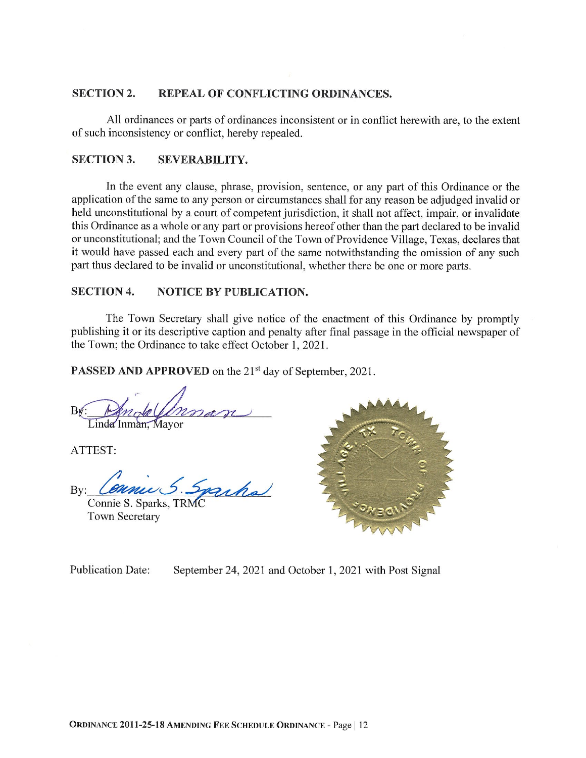#### **SECTION 2.** REPEAL OF CONFLICTING ORDINANCES.

All ordinances or parts of ordinances inconsistent or in conflict herewith are, to the extent of such inconsistency or conflict, hereby repealed.

#### **SECTION 3. SEVERABILITY.**

In the event any clause, phrase, provision, sentence, or any part of this Ordinance or the application of the same to any person or circumstances shall for any reason be adjudged invalid or held unconstitutional by a court of competent jurisdiction, it shall not affect, impair, or invalidate this Ordinance as a whole or any part or provisions hereof other than the part declared to be invalid or unconstitutional; and the Town Council of the Town of Providence Village, Texas, declares that it would have passed each and every part of the same notwithstanding the omission of any such part thus declared to be invalid or unconstitutional, whether there be one or more parts.

#### **SECTION 4. NOTICE BY PUBLICATION.**

The Town Secretary shall give notice of the enactment of this Ordinance by promptly publishing it or its descriptive caption and penalty after final passage in the official newspaper of the Town; the Ordinance to take effect October 1, 2021.

**PASSED AND APPROVED** on the 21<sup>st</sup> day of September, 2021.

Bx Linda Inman, Mayor

ATTEST:

iha  $Bv$ :

Connie S. Sparks, TRM **Town Secretary** 



**Publication Date:** September 24, 2021 and October 1, 2021 with Post Signal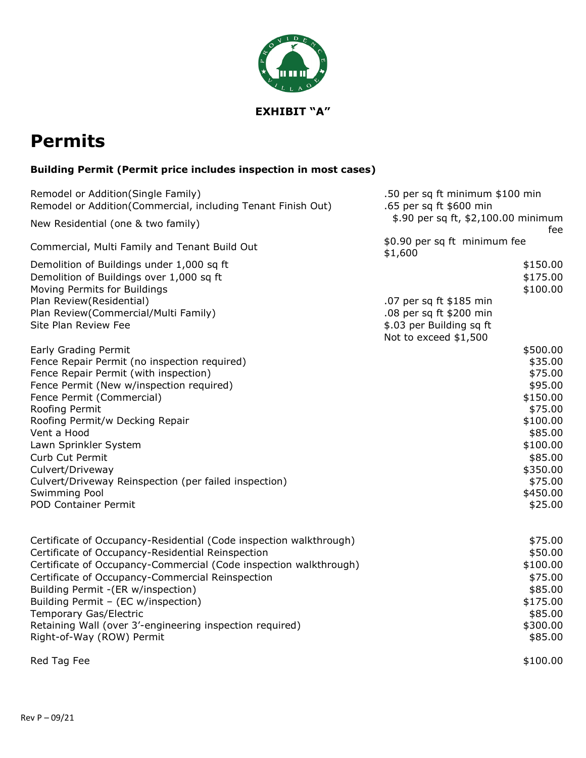

# **Permits**

# **Building Permit (Permit price includes inspection in most cases)**

| Remodel or Addition(Single Family)                                 | .50 per sq ft minimum \$100 min            |
|--------------------------------------------------------------------|--------------------------------------------|
| Remodel or Addition(Commercial, including Tenant Finish Out)       | .65 per sq ft \$600 min                    |
| New Residential (one & two family)                                 | \$.90 per sq ft, \$2,100.00 minimum<br>fee |
| Commercial, Multi Family and Tenant Build Out                      | \$0.90 per sq ft minimum fee<br>\$1,600    |
| Demolition of Buildings under 1,000 sq ft                          | \$150.00                                   |
| Demolition of Buildings over 1,000 sq ft                           | \$175.00                                   |
| Moving Permits for Buildings                                       | \$100.00                                   |
| Plan Review(Residential)                                           | .07 per sq ft \$185 min                    |
| Plan Review(Commercial/Multi Family)                               | .08 per sq ft \$200 min                    |
| Site Plan Review Fee                                               | \$.03 per Building sq ft                   |
|                                                                    | Not to exceed \$1,500                      |
| <b>Early Grading Permit</b>                                        | \$500.00                                   |
| Fence Repair Permit (no inspection required)                       | \$35.00                                    |
| Fence Repair Permit (with inspection)                              | \$75.00                                    |
| Fence Permit (New w/inspection required)                           | \$95.00                                    |
| Fence Permit (Commercial)                                          | \$150.00                                   |
| Roofing Permit                                                     | \$75.00                                    |
| Roofing Permit/w Decking Repair                                    | \$100.00                                   |
| Vent a Hood                                                        | \$85.00                                    |
| Lawn Sprinkler System                                              | \$100.00                                   |
| Curb Cut Permit                                                    | \$85.00                                    |
| Culvert/Driveway                                                   | \$350.00                                   |
| Culvert/Driveway Reinspection (per failed inspection)              | \$75.00                                    |
| <b>Swimming Pool</b>                                               | \$450.00                                   |
| <b>POD Container Permit</b>                                        | \$25.00                                    |
| Certificate of Occupancy-Residential (Code inspection walkthrough) | \$75.00                                    |
| Certificate of Occupancy-Residential Reinspection                  | \$50.00                                    |
| Certificate of Occupancy-Commercial (Code inspection walkthrough)  | \$100.00                                   |
| Certificate of Occupancy-Commercial Reinspection                   | \$75.00                                    |
| Building Permit - (ER w/inspection)                                | \$85.00                                    |
| Building Permit - (EC w/inspection)                                | \$175.00                                   |
| Temporary Gas/Electric                                             | \$85.00                                    |
| Retaining Wall (over 3'-engineering inspection required)           | \$300.00                                   |
| Right-of-Way (ROW) Permit                                          | \$85.00                                    |
| Red Tag Fee                                                        | \$100.00                                   |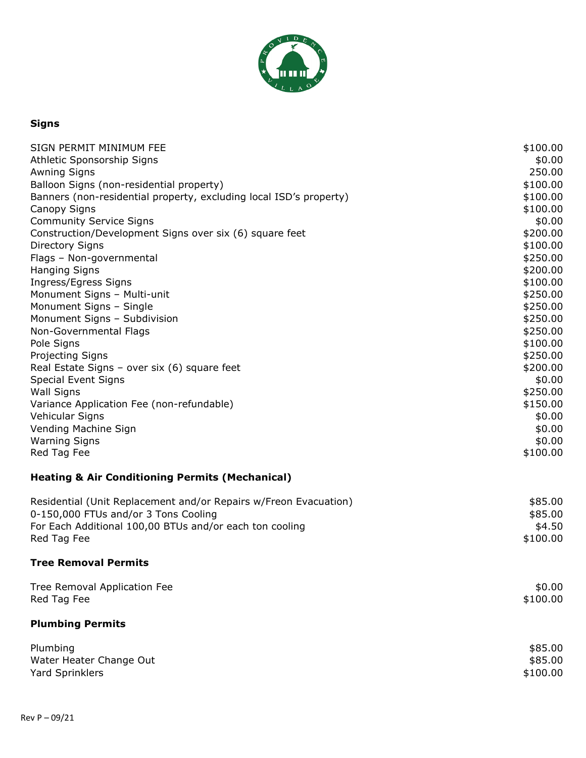

# **Signs**

| SIGN PERMIT MINIMUM FEE                                                                                                                                                                                                                                                                                                 | \$100.00                                                                                         |
|-------------------------------------------------------------------------------------------------------------------------------------------------------------------------------------------------------------------------------------------------------------------------------------------------------------------------|--------------------------------------------------------------------------------------------------|
| Athletic Sponsorship Signs                                                                                                                                                                                                                                                                                              | \$0.00                                                                                           |
| <b>Awning Signs</b>                                                                                                                                                                                                                                                                                                     | 250.00                                                                                           |
| Balloon Signs (non-residential property)                                                                                                                                                                                                                                                                                | \$100.00                                                                                         |
| Banners (non-residential property, excluding local ISD's property)                                                                                                                                                                                                                                                      | \$100.00                                                                                         |
| Canopy Signs                                                                                                                                                                                                                                                                                                            | \$100.00                                                                                         |
| <b>Community Service Signs</b>                                                                                                                                                                                                                                                                                          | \$0.00                                                                                           |
| Construction/Development Signs over six (6) square feet                                                                                                                                                                                                                                                                 | \$200.00                                                                                         |
| <b>Directory Signs</b>                                                                                                                                                                                                                                                                                                  | \$100.00                                                                                         |
| Flags - Non-governmental                                                                                                                                                                                                                                                                                                | \$250.00                                                                                         |
| <b>Hanging Signs</b>                                                                                                                                                                                                                                                                                                    | \$200.00                                                                                         |
| Ingress/Egress Signs                                                                                                                                                                                                                                                                                                    | \$100.00                                                                                         |
| Monument Signs - Multi-unit                                                                                                                                                                                                                                                                                             | \$250.00                                                                                         |
| Monument Signs - Single                                                                                                                                                                                                                                                                                                 | \$250.00                                                                                         |
| Monument Signs - Subdivision                                                                                                                                                                                                                                                                                            | \$250.00                                                                                         |
| Non-Governmental Flags                                                                                                                                                                                                                                                                                                  | \$250.00                                                                                         |
| Pole Signs                                                                                                                                                                                                                                                                                                              | \$100.00                                                                                         |
| <b>Projecting Signs</b><br>Real Estate Signs - over six (6) square feet<br><b>Special Event Signs</b><br><b>Wall Signs</b><br>Variance Application Fee (non-refundable)<br>Vehicular Signs<br>Vending Machine Sign<br><b>Warning Signs</b><br>Red Tag Fee<br><b>Heating &amp; Air Conditioning Permits (Mechanical)</b> | \$250.00<br>\$200.00<br>\$0.00<br>\$250.00<br>\$150.00<br>\$0.00<br>\$0.00<br>\$0.00<br>\$100.00 |
| Residential (Unit Replacement and/or Repairs w/Freon Evacuation)                                                                                                                                                                                                                                                        | \$85.00                                                                                          |
| 0-150,000 FTUs and/or 3 Tons Cooling                                                                                                                                                                                                                                                                                    | \$85.00                                                                                          |
| For Each Additional 100,00 BTUs and/or each ton cooling                                                                                                                                                                                                                                                                 | \$4.50                                                                                           |
| Red Tag Fee                                                                                                                                                                                                                                                                                                             | \$100.00                                                                                         |
| <b>Tree Removal Permits</b>                                                                                                                                                                                                                                                                                             |                                                                                                  |
| Tree Removal Application Fee                                                                                                                                                                                                                                                                                            | \$0.00                                                                                           |
| Red Tag Fee                                                                                                                                                                                                                                                                                                             | \$100.00                                                                                         |
| <b>Plumbing Permits</b>                                                                                                                                                                                                                                                                                                 |                                                                                                  |
| Plumbing                                                                                                                                                                                                                                                                                                                | \$85.00                                                                                          |
| Water Heater Change Out                                                                                                                                                                                                                                                                                                 | \$85.00                                                                                          |
| <b>Yard Sprinklers</b>                                                                                                                                                                                                                                                                                                  | \$100.00                                                                                         |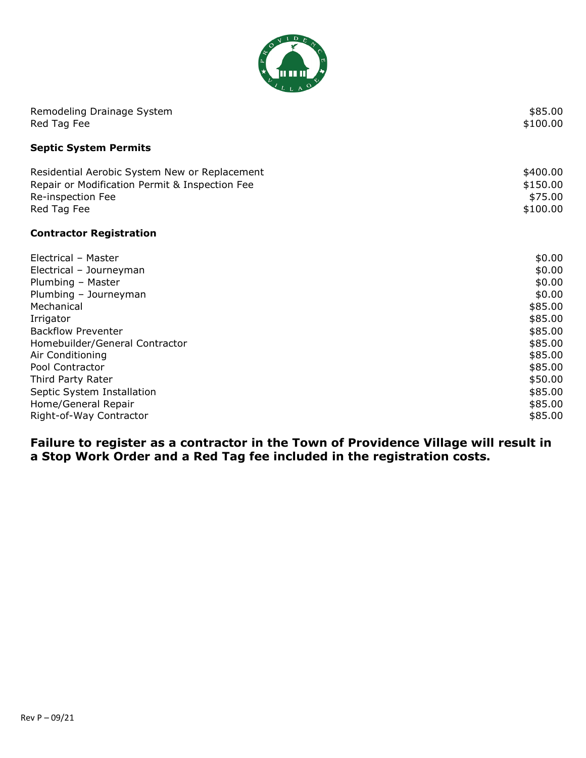

| Remodeling Drainage System<br>Red Tag Fee      | \$85.00<br>\$100.00 |
|------------------------------------------------|---------------------|
| <b>Septic System Permits</b>                   |                     |
| Residential Aerobic System New or Replacement  | \$400.00            |
| Repair or Modification Permit & Inspection Fee | \$150.00            |
| Re-inspection Fee                              | \$75.00             |
| Red Tag Fee                                    | \$100.00            |
| <b>Contractor Registration</b>                 |                     |
| Electrical - Master                            | \$0.00              |
| Electrical - Journeyman                        | \$0.00              |
| Plumbing - Master                              | \$0.00              |
| Plumbing - Journeyman                          | \$0.00              |
| Mechanical                                     | \$85.00             |
| Irrigator                                      | \$85.00             |
| <b>Backflow Preventer</b>                      | \$85.00             |
| Homebuilder/General Contractor                 | \$85.00             |
| Air Conditioning                               | \$85.00             |
| Pool Contractor                                | \$85.00             |
| Third Party Rater                              | \$50.00             |
| Septic System Installation                     | \$85.00             |
| Home/General Repair                            | \$85.00             |
| Right-of-Way Contractor                        | \$85.00             |

**Failure to register as a contractor in the Town of Providence Village will result in a Stop Work Order and a Red Tag fee included in the registration costs.**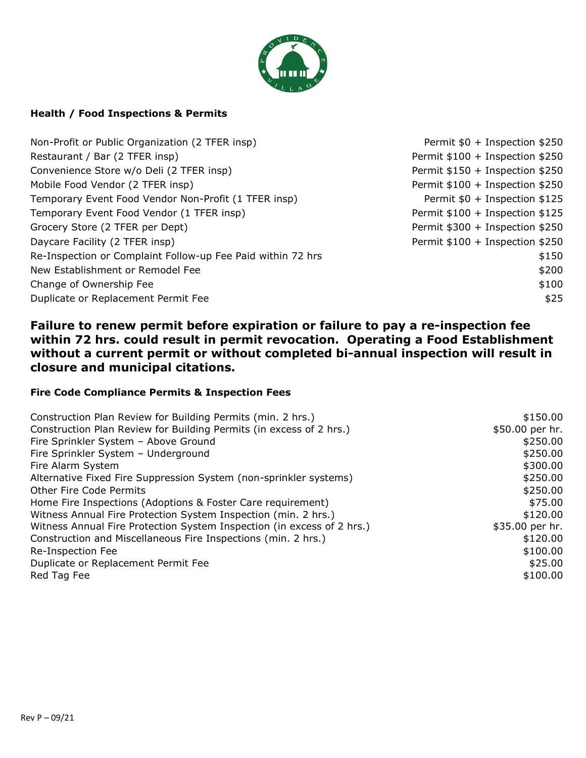

#### **Health / Food Inspections & Permits**

| Non-Profit or Public Organization (2 TFER insp)             | Permit \$0 + Inspection \$250   |
|-------------------------------------------------------------|---------------------------------|
| Restaurant / Bar (2 TFER insp)                              | Permit \$100 + Inspection \$250 |
| Convenience Store w/o Deli (2 TFER insp)                    | Permit \$150 + Inspection \$250 |
| Mobile Food Vendor (2 TFER insp)                            | Permit \$100 + Inspection \$250 |
| Temporary Event Food Vendor Non-Profit (1 TFER insp)        | Permit \$0 + Inspection \$125   |
| Temporary Event Food Vendor (1 TFER insp)                   | Permit \$100 + Inspection \$125 |
| Grocery Store (2 TFER per Dept)                             | Permit \$300 + Inspection \$250 |
| Daycare Facility (2 TFER insp)                              | Permit \$100 + Inspection \$250 |
| Re-Inspection or Complaint Follow-up Fee Paid within 72 hrs | \$150                           |
| New Establishment or Remodel Fee                            | \$200                           |
| Change of Ownership Fee                                     | \$100                           |
| Duplicate or Replacement Permit Fee                         | \$25                            |

# **Failure to renew permit before expiration or failure to pay a re-inspection fee within 72 hrs. could result in permit revocation. Operating a Food Establishment without a current permit or without completed bi-annual inspection will result in closure and municipal citations.**

#### **Fire Code Compliance Permits & Inspection Fees**

| Construction Plan Review for Building Permits (min. 2 hrs.)            | \$150.00        |
|------------------------------------------------------------------------|-----------------|
| Construction Plan Review for Building Permits (in excess of 2 hrs.)    | \$50.00 per hr. |
| Fire Sprinkler System - Above Ground                                   | \$250.00        |
| Fire Sprinkler System - Underground                                    | \$250.00        |
| Fire Alarm System                                                      | \$300.00        |
| Alternative Fixed Fire Suppression System (non-sprinkler systems)      | \$250.00        |
| <b>Other Fire Code Permits</b>                                         | \$250.00        |
| Home Fire Inspections (Adoptions & Foster Care requirement)            | \$75.00         |
| Witness Annual Fire Protection System Inspection (min. 2 hrs.)         | \$120.00        |
| Witness Annual Fire Protection System Inspection (in excess of 2 hrs.) | \$35.00 per hr. |
| Construction and Miscellaneous Fire Inspections (min. 2 hrs.)          | \$120.00        |
| Re-Inspection Fee                                                      | \$100.00        |
| Duplicate or Replacement Permit Fee                                    | \$25.00         |
| Red Tag Fee                                                            | \$100.00        |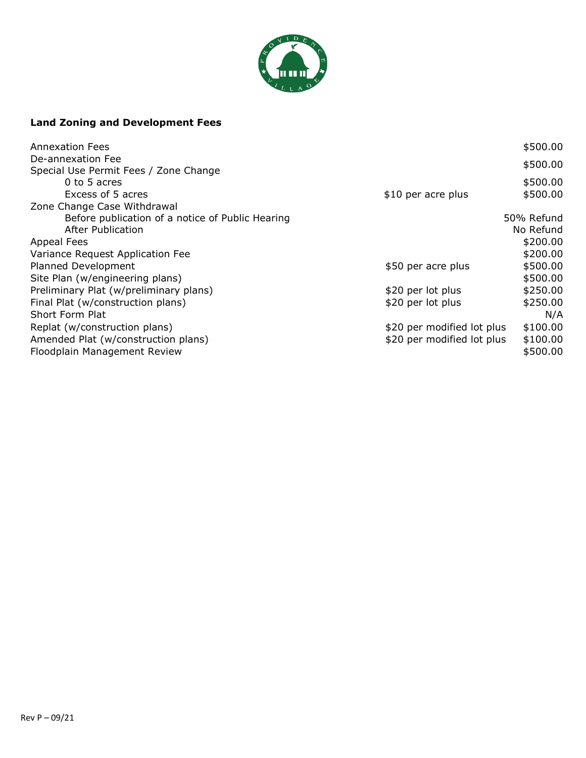

# **Land Zoning and Development Fees**

| <b>Annexation Fees</b>                           |                            | \$500.00   |
|--------------------------------------------------|----------------------------|------------|
| De-annexation Fee                                |                            | \$500.00   |
| Special Use Permit Fees / Zone Change            |                            |            |
| $0$ to 5 acres                                   |                            | \$500.00   |
| Excess of 5 acres                                | \$10 per acre plus         | \$500.00   |
| Zone Change Case Withdrawal                      |                            |            |
| Before publication of a notice of Public Hearing |                            | 50% Refund |
| After Publication                                |                            | No Refund  |
| <b>Appeal Fees</b>                               |                            | \$200.00   |
| Variance Request Application Fee                 |                            | \$200.00   |
| Planned Development                              | \$50 per acre plus         | \$500.00   |
| Site Plan (w/engineering plans)                  |                            | \$500.00   |
| Preliminary Plat (w/preliminary plans)           | \$20 per lot plus          | \$250.00   |
| Final Plat (w/construction plans)                | \$20 per lot plus          | \$250.00   |
| Short Form Plat                                  |                            | N/A        |
| Replat (w/construction plans)                    | \$20 per modified lot plus | \$100.00   |
| Amended Plat (w/construction plans)              | \$20 per modified lot plus | \$100.00   |
| Floodplain Management Review                     |                            | \$500.00   |
|                                                  |                            |            |